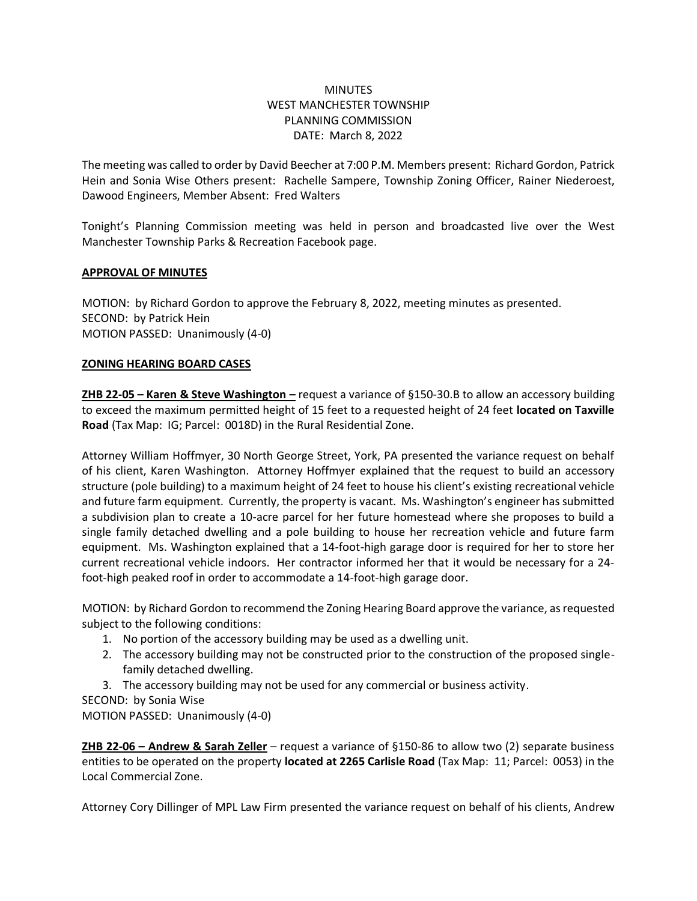# **MINUTES** WEST MANCHESTER TOWNSHIP PLANNING COMMISSION DATE: March 8, 2022

The meeting was called to order by David Beecher at 7:00 P.M. Members present: Richard Gordon, Patrick Hein and Sonia Wise Others present: Rachelle Sampere, Township Zoning Officer, Rainer Niederoest, Dawood Engineers, Member Absent: Fred Walters

Tonight's Planning Commission meeting was held in person and broadcasted live over the West Manchester Township Parks & Recreation Facebook page.

## **APPROVAL OF MINUTES**

MOTION: by Richard Gordon to approve the February 8, 2022, meeting minutes as presented. SECOND: by Patrick Hein MOTION PASSED: Unanimously (4-0)

### **ZONING HEARING BOARD CASES**

**ZHB 22-05 – Karen & Steve Washington –** request a variance of §150-30.B to allow an accessory building to exceed the maximum permitted height of 15 feet to a requested height of 24 feet **located on Taxville Road** (Tax Map: IG; Parcel: 0018D) in the Rural Residential Zone.

Attorney William Hoffmyer, 30 North George Street, York, PA presented the variance request on behalf of his client, Karen Washington. Attorney Hoffmyer explained that the request to build an accessory structure (pole building) to a maximum height of 24 feet to house his client's existing recreational vehicle and future farm equipment. Currently, the property is vacant. Ms. Washington's engineer has submitted a subdivision plan to create a 10-acre parcel for her future homestead where she proposes to build a single family detached dwelling and a pole building to house her recreation vehicle and future farm equipment. Ms. Washington explained that a 14-foot-high garage door is required for her to store her current recreational vehicle indoors. Her contractor informed her that it would be necessary for a 24 foot-high peaked roof in order to accommodate a 14-foot-high garage door.

MOTION: by Richard Gordon to recommend the Zoning Hearing Board approve the variance, as requested subject to the following conditions:

- 1. No portion of the accessory building may be used as a dwelling unit.
- 2. The accessory building may not be constructed prior to the construction of the proposed singlefamily detached dwelling.
- 3. The accessory building may not be used for any commercial or business activity.
- SECOND: by Sonia Wise

MOTION PASSED: Unanimously (4-0)

**ZHB 22-06 – Andrew & Sarah Zeller** – request a variance of §150-86 to allow two (2) separate business entities to be operated on the property **located at 2265 Carlisle Road** (Tax Map: 11; Parcel: 0053) in the Local Commercial Zone.

Attorney Cory Dillinger of MPL Law Firm presented the variance request on behalf of his clients, Andrew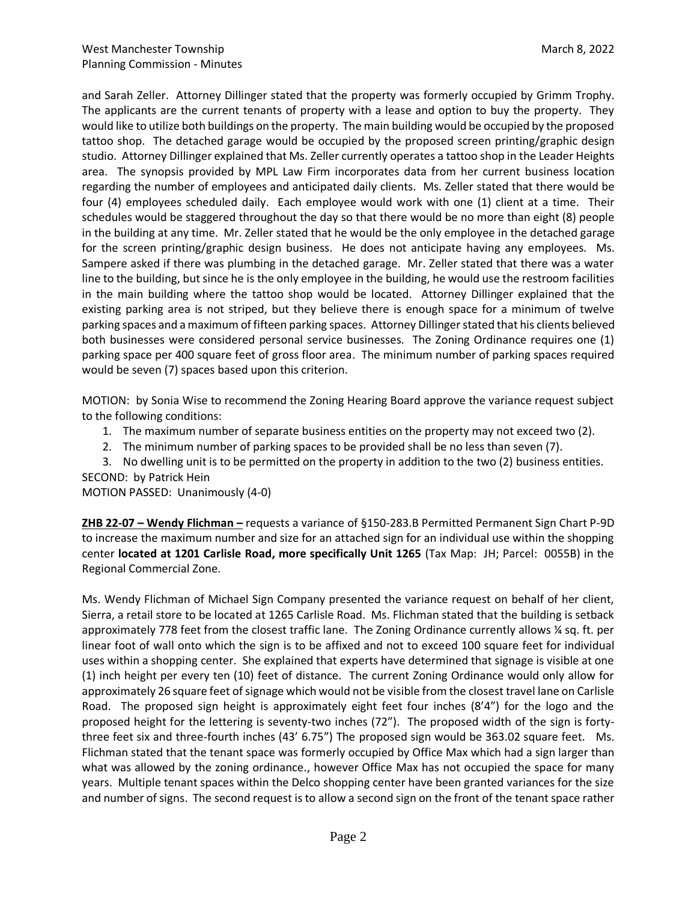and Sarah Zeller. Attorney Dillinger stated that the property was formerly occupied by Grimm Trophy. The applicants are the current tenants of property with a lease and option to buy the property. They would like to utilize both buildings on the property. The main building would be occupied by the proposed tattoo shop. The detached garage would be occupied by the proposed screen printing/graphic design studio. Attorney Dillinger explained that Ms. Zeller currently operates a tattoo shop in the Leader Heights area. The synopsis provided by MPL Law Firm incorporates data from her current business location regarding the number of employees and anticipated daily clients. Ms. Zeller stated that there would be four (4) employees scheduled daily. Each employee would work with one (1) client at a time. Their schedules would be staggered throughout the day so that there would be no more than eight (8) people in the building at any time. Mr. Zeller stated that he would be the only employee in the detached garage for the screen printing/graphic design business. He does not anticipate having any employees. Ms. Sampere asked if there was plumbing in the detached garage. Mr. Zeller stated that there was a water line to the building, but since he is the only employee in the building, he would use the restroom facilities in the main building where the tattoo shop would be located. Attorney Dillinger explained that the existing parking area is not striped, but they believe there is enough space for a minimum of twelve parking spaces and a maximum of fifteen parking spaces. Attorney Dillinger stated that his clients believed both businesses were considered personal service businesses. The Zoning Ordinance requires one (1) parking space per 400 square feet of gross floor area. The minimum number of parking spaces required would be seven (7) spaces based upon this criterion.

MOTION: by Sonia Wise to recommend the Zoning Hearing Board approve the variance request subject to the following conditions:

- 1. The maximum number of separate business entities on the property may not exceed two (2).
- 2. The minimum number of parking spaces to be provided shall be no less than seven (7).
- 3. No dwelling unit is to be permitted on the property in addition to the two (2) business entities. SECOND: by Patrick Hein

MOTION PASSED: Unanimously (4-0)

**ZHB 22-07 – Wendy Flichman –** requests a variance of §150-283.B Permitted Permanent Sign Chart P-9D to increase the maximum number and size for an attached sign for an individual use within the shopping center **located at 1201 Carlisle Road, more specifically Unit 1265** (Tax Map: JH; Parcel: 0055B) in the Regional Commercial Zone.

Ms. Wendy Flichman of Michael Sign Company presented the variance request on behalf of her client, Sierra, a retail store to be located at 1265 Carlisle Road. Ms. Flichman stated that the building is setback approximately 778 feet from the closest traffic lane. The Zoning Ordinance currently allows ¼ sq. ft. per linear foot of wall onto which the sign is to be affixed and not to exceed 100 square feet for individual uses within a shopping center. She explained that experts have determined that signage is visible at one (1) inch height per every ten (10) feet of distance. The current Zoning Ordinance would only allow for approximately 26 square feet of signage which would not be visible from the closest travel lane on Carlisle Road. The proposed sign height is approximately eight feet four inches (8'4") for the logo and the proposed height for the lettering is seventy-two inches (72"). The proposed width of the sign is fortythree feet six and three-fourth inches (43' 6.75") The proposed sign would be 363.02 square feet. Ms. Flichman stated that the tenant space was formerly occupied by Office Max which had a sign larger than what was allowed by the zoning ordinance., however Office Max has not occupied the space for many years. Multiple tenant spaces within the Delco shopping center have been granted variances for the size and number of signs. The second request is to allow a second sign on the front of the tenant space rather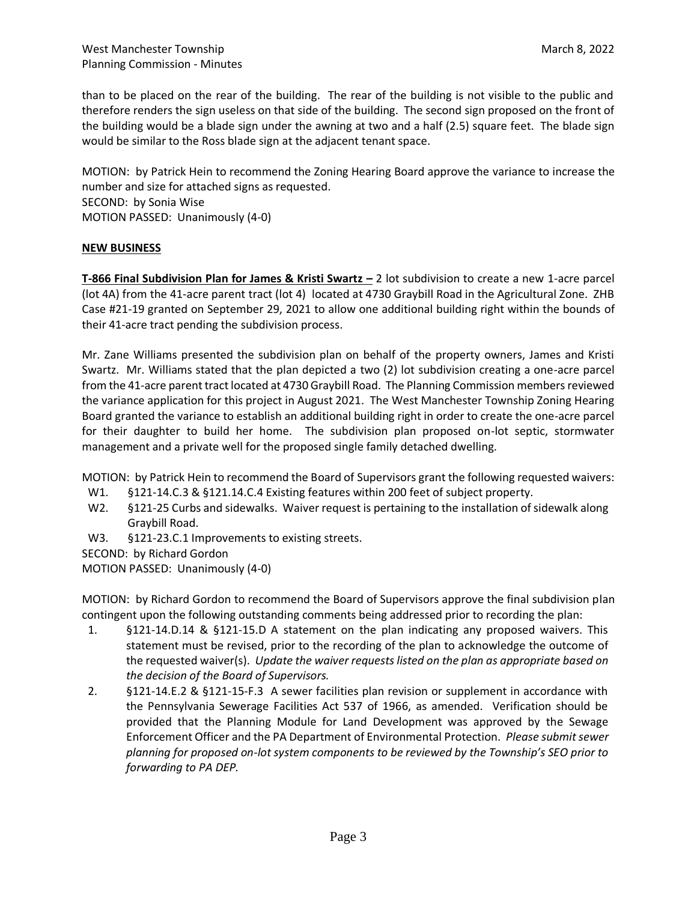than to be placed on the rear of the building. The rear of the building is not visible to the public and therefore renders the sign useless on that side of the building. The second sign proposed on the front of the building would be a blade sign under the awning at two and a half (2.5) square feet. The blade sign would be similar to the Ross blade sign at the adjacent tenant space.

MOTION: by Patrick Hein to recommend the Zoning Hearing Board approve the variance to increase the number and size for attached signs as requested. SECOND: by Sonia Wise

MOTION PASSED: Unanimously (4-0)

### **NEW BUSINESS**

**T-866 Final Subdivision Plan for James & Kristi Swartz –** 2 lot subdivision to create a new 1-acre parcel (lot 4A) from the 41-acre parent tract (lot 4) located at 4730 Graybill Road in the Agricultural Zone. ZHB Case #21-19 granted on September 29, 2021 to allow one additional building right within the bounds of their 41-acre tract pending the subdivision process.

Mr. Zane Williams presented the subdivision plan on behalf of the property owners, James and Kristi Swartz. Mr. Williams stated that the plan depicted a two (2) lot subdivision creating a one-acre parcel from the 41-acre parent tract located at 4730 Graybill Road. The Planning Commission members reviewed the variance application for this project in August 2021. The West Manchester Township Zoning Hearing Board granted the variance to establish an additional building right in order to create the one-acre parcel for their daughter to build her home. The subdivision plan proposed on-lot septic, stormwater management and a private well for the proposed single family detached dwelling.

MOTION: by Patrick Hein to recommend the Board of Supervisors grant the following requested waivers:

- W1. §121-14.C.3 & §121.14.C.4 Existing features within 200 feet of subject property.
- W2. §121-25 Curbs and sidewalks. Waiver request is pertaining to the installation of sidewalk along Graybill Road.
- W3. §121-23.C.1 Improvements to existing streets.

SECOND: by Richard Gordon

MOTION PASSED: Unanimously (4-0)

MOTION: by Richard Gordon to recommend the Board of Supervisors approve the final subdivision plan contingent upon the following outstanding comments being addressed prior to recording the plan:

- 1. §121-14.D.14 & §121-15.D A statement on the plan indicating any proposed waivers. This statement must be revised, prior to the recording of the plan to acknowledge the outcome of the requested waiver(s). *Update the waiver requests listed on the plan as appropriate based on the decision of the Board of Supervisors.*
- 2. §121-14.E.2 & §121-15-F.3 A sewer facilities plan revision or supplement in accordance with the Pennsylvania Sewerage Facilities Act 537 of 1966, as amended. Verification should be provided that the Planning Module for Land Development was approved by the Sewage Enforcement Officer and the PA Department of Environmental Protection. *Please submit sewer planning for proposed on-lot system components to be reviewed by the Township's SEO prior to forwarding to PA DEP.*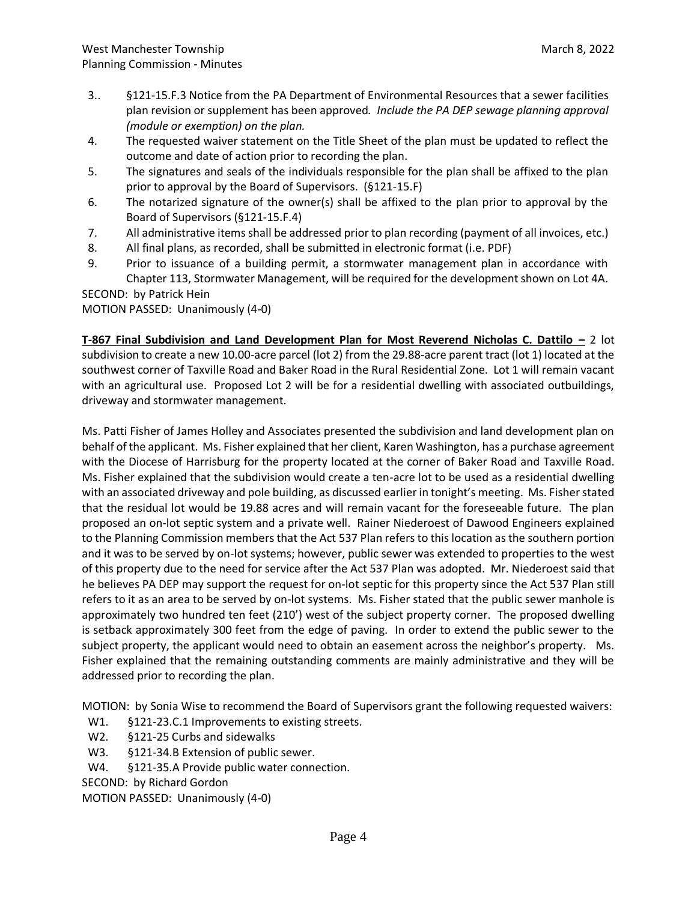- 3.. §121-15.F.3 Notice from the PA Department of Environmental Resources that a sewer facilities plan revision or supplement has been approved*. Include the PA DEP sewage planning approval (module or exemption) on the plan.*
- 4. The requested waiver statement on the Title Sheet of the plan must be updated to reflect the outcome and date of action prior to recording the plan.
- 5. The signatures and seals of the individuals responsible for the plan shall be affixed to the plan prior to approval by the Board of Supervisors. (§121-15.F)
- 6. The notarized signature of the owner(s) shall be affixed to the plan prior to approval by the Board of Supervisors (§121-15.F.4)
- 7. All administrative items shall be addressed prior to plan recording (payment of all invoices, etc.)
- 8. All final plans, as recorded, shall be submitted in electronic format (i.e. PDF)
- 9. Prior to issuance of a building permit, a stormwater management plan in accordance with Chapter 113, Stormwater Management, will be required for the development shown on Lot 4A.

SECOND: by Patrick Hein

MOTION PASSED: Unanimously (4-0)

**T-867 Final Subdivision and Land Development Plan for Most Reverend Nicholas C. Dattilo –** 2 lot subdivision to create a new 10.00-acre parcel (lot 2) from the 29.88-acre parent tract (lot 1) located at the southwest corner of Taxville Road and Baker Road in the Rural Residential Zone. Lot 1 will remain vacant with an agricultural use. Proposed Lot 2 will be for a residential dwelling with associated outbuildings, driveway and stormwater management.

Ms. Patti Fisher of James Holley and Associates presented the subdivision and land development plan on behalf of the applicant. Ms. Fisher explained that her client, Karen Washington, has a purchase agreement with the Diocese of Harrisburg for the property located at the corner of Baker Road and Taxville Road. Ms. Fisher explained that the subdivision would create a ten-acre lot to be used as a residential dwelling with an associated driveway and pole building, as discussed earlier in tonight's meeting. Ms. Fisher stated that the residual lot would be 19.88 acres and will remain vacant for the foreseeable future. The plan proposed an on-lot septic system and a private well. Rainer Niederoest of Dawood Engineers explained to the Planning Commission members that the Act 537 Plan refers to this location as the southern portion and it was to be served by on-lot systems; however, public sewer was extended to properties to the west of this property due to the need for service after the Act 537 Plan was adopted. Mr. Niederoest said that he believes PA DEP may support the request for on-lot septic for this property since the Act 537 Plan still refers to it as an area to be served by on-lot systems. Ms. Fisher stated that the public sewer manhole is approximately two hundred ten feet (210') west of the subject property corner. The proposed dwelling is setback approximately 300 feet from the edge of paving. In order to extend the public sewer to the subject property, the applicant would need to obtain an easement across the neighbor's property. Ms. Fisher explained that the remaining outstanding comments are mainly administrative and they will be addressed prior to recording the plan.

MOTION: by Sonia Wise to recommend the Board of Supervisors grant the following requested waivers:

- W1. §121-23.C.1 Improvements to existing streets.
- W2. §121-25 Curbs and sidewalks
- W3. §121-34.B Extension of public sewer.
- W4. §121-35.A Provide public water connection.
- SECOND: by Richard Gordon

MOTION PASSED: Unanimously (4-0)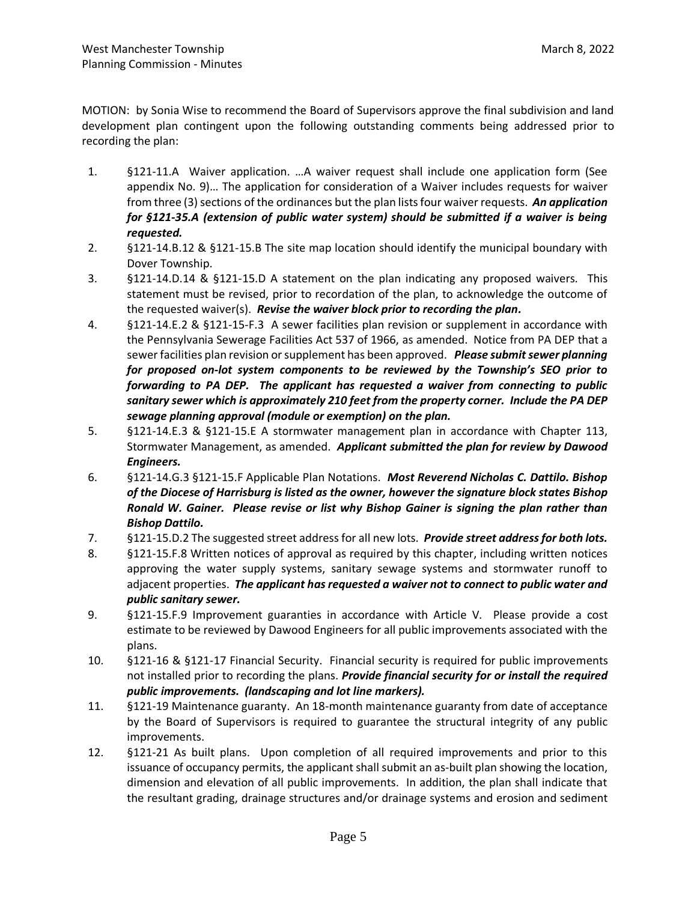MOTION: by Sonia Wise to recommend the Board of Supervisors approve the final subdivision and land development plan contingent upon the following outstanding comments being addressed prior to recording the plan:

- 1. §121-11.A Waiver application. …A waiver request shall include one application form (See appendix No. 9)… The application for consideration of a Waiver includes requests for waiver from three (3) sections of the ordinances but the plan lists four waiver requests. *An application for §121-35.A (extension of public water system) should be submitted if a waiver is being requested.*
- 2. §121-14.B.12 & §121-15.B The site map location should identify the municipal boundary with Dover Township.
- 3. §121-14.D.14 & §121-15.D A statement on the plan indicating any proposed waivers. This statement must be revised, prior to recordation of the plan, to acknowledge the outcome of the requested waiver(s). *Revise the waiver block prior to recording the plan.*
- 4. §121-14.E.2 & §121-15-F.3 A sewer facilities plan revision or supplement in accordance with the Pennsylvania Sewerage Facilities Act 537 of 1966, as amended. Notice from PA DEP that a sewer facilities plan revision or supplement has been approved. *Please submit sewer planning for proposed on-lot system components to be reviewed by the Township's SEO prior to forwarding to PA DEP. The applicant has requested a waiver from connecting to public sanitary sewer which is approximately 210 feet from the property corner. Include the PA DEP sewage planning approval (module or exemption) on the plan.*
- 5. §121-14.E.3 & §121-15.E A stormwater management plan in accordance with Chapter 113, Stormwater Management, as amended. *Applicant submitted the plan for review by Dawood Engineers.*
- 6. §121-14.G.3 §121-15.F Applicable Plan Notations. *Most Reverend Nicholas C. Dattilo. Bishop of the Diocese of Harrisburg is listed as the owner, however the signature block states Bishop Ronald W. Gainer. Please revise or list why Bishop Gainer is signing the plan rather than Bishop Dattilo.*
- 7. §121-15.D.2 The suggested street address for all new lots. *Provide street address for both lots.*
- 8. §121-15.F.8 Written notices of approval as required by this chapter, including written notices approving the water supply systems, sanitary sewage systems and stormwater runoff to adjacent properties. *The applicant has requested a waiver not to connect to public water and public sanitary sewer.*
- 9. §121-15.F.9 Improvement guaranties in accordance with Article V. Please provide a cost estimate to be reviewed by Dawood Engineers for all public improvements associated with the plans.
- 10. §121-16 & §121-17 Financial Security. Financial security is required for public improvements not installed prior to recording the plans. *Provide financial security for or install the required public improvements. (landscaping and lot line markers).*
- 11. §121-19 Maintenance guaranty. An 18-month maintenance guaranty from date of acceptance by the Board of Supervisors is required to guarantee the structural integrity of any public improvements.
- 12. §121-21 As built plans. Upon completion of all required improvements and prior to this issuance of occupancy permits, the applicant shall submit an as-built plan showing the location, dimension and elevation of all public improvements. In addition, the plan shall indicate that the resultant grading, drainage structures and/or drainage systems and erosion and sediment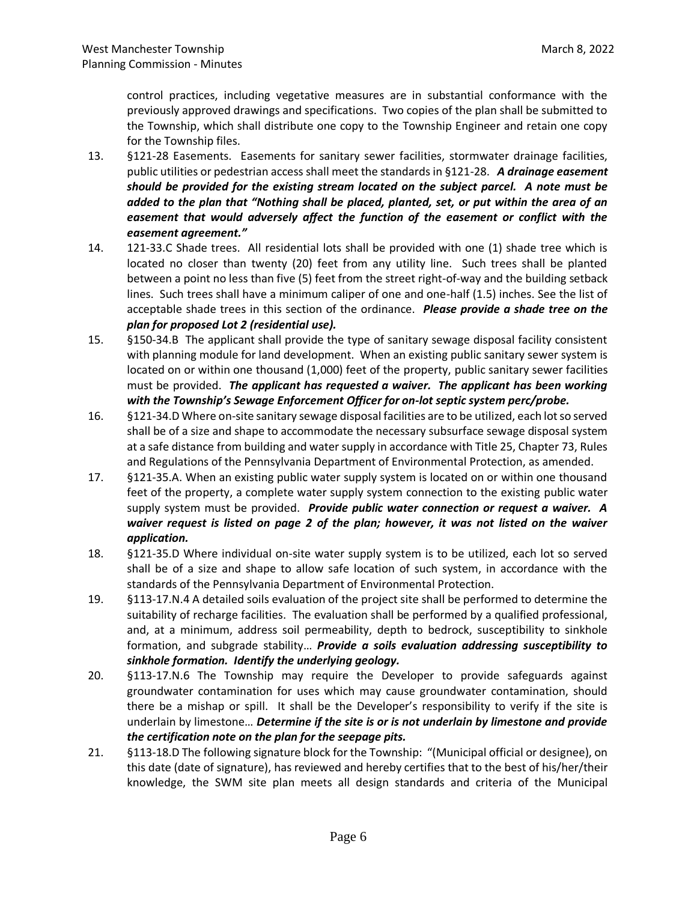control practices, including vegetative measures are in substantial conformance with the previously approved drawings and specifications. Two copies of the plan shall be submitted to the Township, which shall distribute one copy to the Township Engineer and retain one copy for the Township files.

- 13. §121-28 Easements. Easements for sanitary sewer facilities, stormwater drainage facilities, public utilities or pedestrian access shall meet the standards in §121-28. *A drainage easement should be provided for the existing stream located on the subject parcel. A note must be added to the plan that "Nothing shall be placed, planted, set, or put within the area of an easement that would adversely affect the function of the easement or conflict with the easement agreement."*
- 14. 121-33.C Shade trees. All residential lots shall be provided with one (1) shade tree which is located no closer than twenty (20) feet from any utility line. Such trees shall be planted between a point no less than five (5) feet from the street right-of-way and the building setback lines. Such trees shall have a minimum caliper of one and one-half (1.5) inches. See the list of acceptable shade trees in this section of the ordinance. *Please provide a shade tree on the plan for proposed Lot 2 (residential use).*
- 15. §150-34.B The applicant shall provide the type of sanitary sewage disposal facility consistent with planning module for land development. When an existing public sanitary sewer system is located on or within one thousand (1,000) feet of the property, public sanitary sewer facilities must be provided. *The applicant has requested a waiver. The applicant has been working with the Township's Sewage Enforcement Officer for on-lot septic system perc/probe.*
- 16. §121-34.D Where on-site sanitary sewage disposal facilities are to be utilized, each lot so served shall be of a size and shape to accommodate the necessary subsurface sewage disposal system at a safe distance from building and water supply in accordance with Title 25, Chapter 73, Rules and Regulations of the Pennsylvania Department of Environmental Protection, as amended.
- 17. §121-35.A. When an existing public water supply system is located on or within one thousand feet of the property, a complete water supply system connection to the existing public water supply system must be provided. *Provide public water connection or request a waiver. A waiver request is listed on page 2 of the plan; however, it was not listed on the waiver application.*
- 18. §121-35.D Where individual on-site water supply system is to be utilized, each lot so served shall be of a size and shape to allow safe location of such system, in accordance with the standards of the Pennsylvania Department of Environmental Protection.
- 19. §113-17.N.4 A detailed soils evaluation of the project site shall be performed to determine the suitability of recharge facilities. The evaluation shall be performed by a qualified professional, and, at a minimum, address soil permeability, depth to bedrock, susceptibility to sinkhole formation, and subgrade stability… *Provide a soils evaluation addressing susceptibility to sinkhole formation. Identify the underlying geology.*
- 20. §113-17.N.6 The Township may require the Developer to provide safeguards against groundwater contamination for uses which may cause groundwater contamination, should there be a mishap or spill. It shall be the Developer's responsibility to verify if the site is underlain by limestone… *Determine if the site is or is not underlain by limestone and provide the certification note on the plan for the seepage pits.*
- 21. §113-18.D The following signature block for the Township: "(Municipal official or designee), on this date (date of signature), has reviewed and hereby certifies that to the best of his/her/their knowledge, the SWM site plan meets all design standards and criteria of the Municipal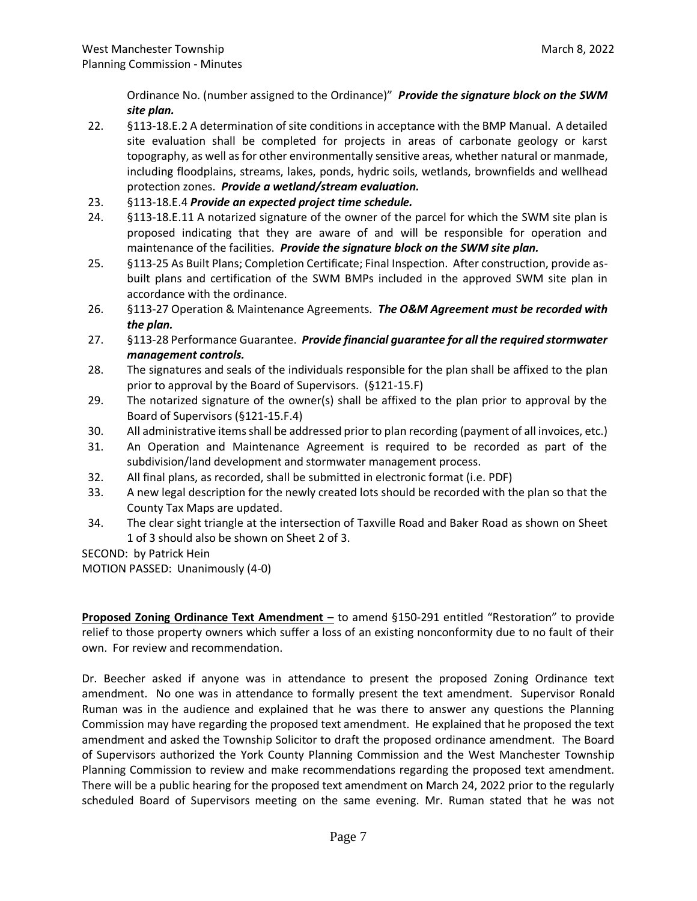Ordinance No. (number assigned to the Ordinance)" *Provide the signature block on the SWM site plan.*

- 22. §113-18.E.2 A determination of site conditions in acceptance with the BMP Manual. A detailed site evaluation shall be completed for projects in areas of carbonate geology or karst topography, as well as for other environmentally sensitive areas, whether natural or manmade, including floodplains, streams, lakes, ponds, hydric soils, wetlands, brownfields and wellhead protection zones. *Provide a wetland/stream evaluation.*
- 23. §113-18.E.4 *Provide an expected project time schedule.*
- 24. §113-18.E.11 A notarized signature of the owner of the parcel for which the SWM site plan is proposed indicating that they are aware of and will be responsible for operation and maintenance of the facilities. *Provide the signature block on the SWM site plan.*
- 25. §113-25 As Built Plans; Completion Certificate; Final Inspection. After construction, provide asbuilt plans and certification of the SWM BMPs included in the approved SWM site plan in accordance with the ordinance.
- 26. §113-27 Operation & Maintenance Agreements. *The O&M Agreement must be recorded with the plan.*
- 27. §113-28 Performance Guarantee. *Provide financial guarantee for all the required stormwater management controls.*
- 28. The signatures and seals of the individuals responsible for the plan shall be affixed to the plan prior to approval by the Board of Supervisors. (§121-15.F)
- 29. The notarized signature of the owner(s) shall be affixed to the plan prior to approval by the Board of Supervisors (§121-15.F.4)
- 30. All administrative items shall be addressed prior to plan recording (payment of all invoices, etc.)
- 31. An Operation and Maintenance Agreement is required to be recorded as part of the subdivision/land development and stormwater management process.
- 32. All final plans, as recorded, shall be submitted in electronic format (i.e. PDF)
- 33. A new legal description for the newly created lots should be recorded with the plan so that the County Tax Maps are updated.
- 34. The clear sight triangle at the intersection of Taxville Road and Baker Road as shown on Sheet 1 of 3 should also be shown on Sheet 2 of 3.

SECOND: by Patrick Hein

MOTION PASSED: Unanimously (4-0)

**Proposed Zoning Ordinance Text Amendment –** to amend §150-291 entitled "Restoration" to provide relief to those property owners which suffer a loss of an existing nonconformity due to no fault of their own. For review and recommendation.

Dr. Beecher asked if anyone was in attendance to present the proposed Zoning Ordinance text amendment. No one was in attendance to formally present the text amendment. Supervisor Ronald Ruman was in the audience and explained that he was there to answer any questions the Planning Commission may have regarding the proposed text amendment. He explained that he proposed the text amendment and asked the Township Solicitor to draft the proposed ordinance amendment. The Board of Supervisors authorized the York County Planning Commission and the West Manchester Township Planning Commission to review and make recommendations regarding the proposed text amendment. There will be a public hearing for the proposed text amendment on March 24, 2022 prior to the regularly scheduled Board of Supervisors meeting on the same evening. Mr. Ruman stated that he was not